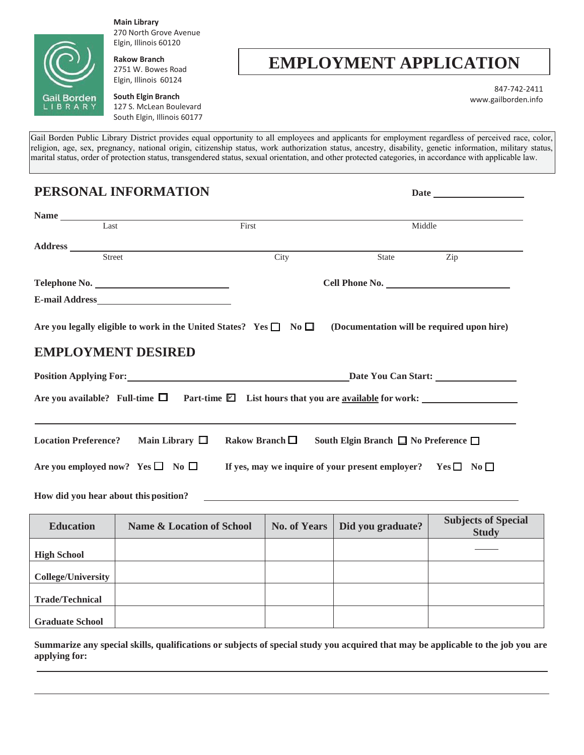

ſ

**Main Library** 270 North Grove Avenue Elgin, Illinois 60120

**Rakow Branch** 2751 W. Bowes Road Elgin, Illinois 60124

## **EMPLOYMENT APPLICATION**

847-742-2411 [www.gailborden.info](http://www.gailborden.info/)

**South Elgin Branch** 127 S. McLean Boulevard South Elgin, Illinois 60177

Gail Borden Public Library District provides equal opportunity to all employees and applicants for employment regardless of perceived race, color, religion, age, sex, pregnancy, national origin, citizenship status, work authorization status, ancestry, disability, genetic information, military status, marital status, order of protection status, transgendered status, sexual orientation, and other protected categories, in accordance with applicable law.

**PERSONAL INFORMATION** Date

| Name                                  |                                                                                                          |                     |                     |                                                                       |                                            |
|---------------------------------------|----------------------------------------------------------------------------------------------------------|---------------------|---------------------|-----------------------------------------------------------------------|--------------------------------------------|
| Last                                  |                                                                                                          | First               |                     | Middle                                                                |                                            |
|                                       |                                                                                                          |                     |                     |                                                                       |                                            |
| Street                                |                                                                                                          |                     | City                | <b>State</b>                                                          | Zip                                        |
|                                       |                                                                                                          |                     |                     | Cell Phone No.                                                        |                                            |
|                                       |                                                                                                          |                     |                     |                                                                       |                                            |
|                                       | Are you legally eligible to work in the United States? Yes $\Box$ No $\Box$<br><b>EMPLOYMENT DESIRED</b> |                     |                     | (Documentation will be required upon hire)                            |                                            |
|                                       | Are you available? Full-time $\Box$ Part-time $\Box$ List hours that you are <u>available</u> for work:  |                     |                     |                                                                       |                                            |
|                                       | Location Preference? Main Library $\Box$                                                                 | Rakow Branch $\Box$ |                     | South Elgin Branch $\Box$ No Preference $\Box$                        |                                            |
|                                       | Are you employed now? Yes $\square$ No $\square$                                                         |                     |                     | If yes, may we inquire of your present employer? Yes $\Box$ No $\Box$ |                                            |
| How did you hear about this position? |                                                                                                          |                     |                     | <u> 1980 - Jan Alexandri, politik američki politik († 1901)</u>       |                                            |
| <b>Education</b>                      | <b>Name &amp; Location of School</b>                                                                     |                     | <b>No. of Years</b> | Did you graduate?                                                     | <b>Subjects of Special</b><br><b>Study</b> |
|                                       |                                                                                                          |                     |                     |                                                                       |                                            |

|                           |  | $_{\text{out}}$ |
|---------------------------|--|-----------------|
| <b>High School</b>        |  |                 |
| <b>College/University</b> |  |                 |
| <b>Trade/Technical</b>    |  |                 |
| <b>Graduate School</b>    |  |                 |

**Summarize any special skills, qualifications or subjects of special study you acquired that may be applicable to the job you are applying for:**